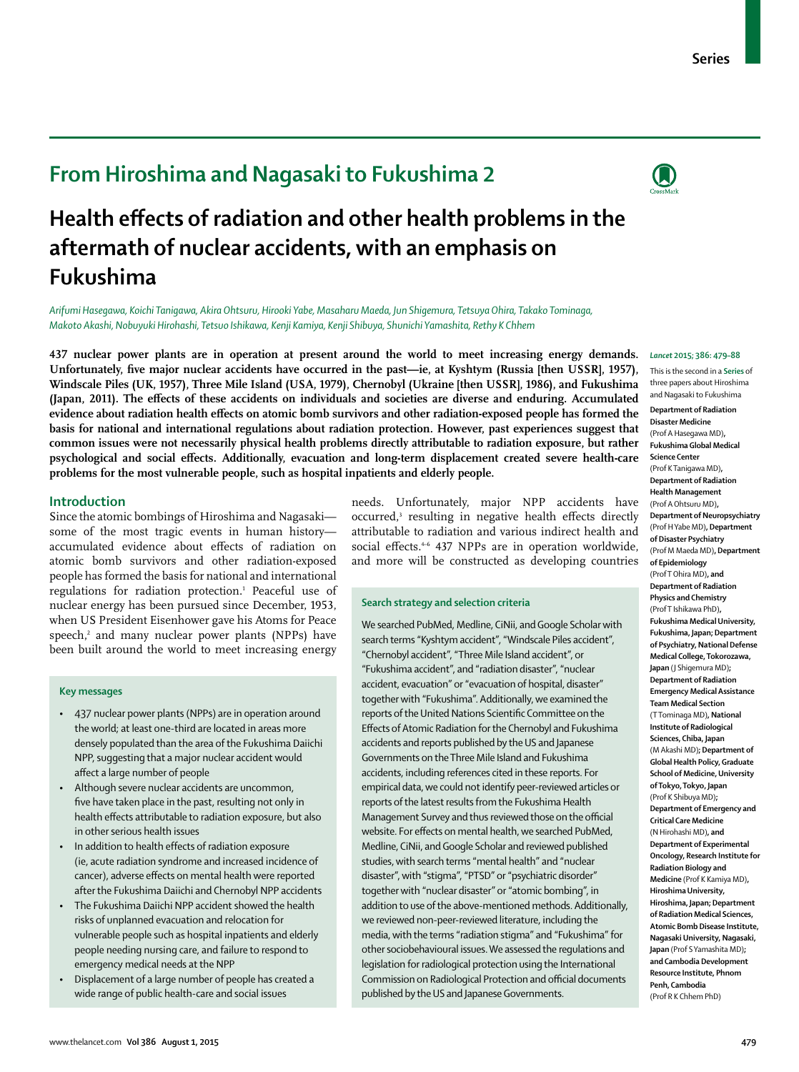# **From Hiroshima and Nagasaki to Fukushima 2**



*Arifumi Hasegawa, Koichi Tanigawa, Akira Ohtsuru, Hirooki Yabe, Masaharu Maeda, Jun Shigemura, Tetsuya Ohira, Takako Tominaga, Makoto Akashi, Nobuyuki Hirohashi, Tetsuo Ishikawa, Kenji Kamiya, Kenji Shibuya, Shunichi Yamashita, Rethy K Chhem* 

**437 nuclear power plants are in operation at present around the world to meet increasing energy demands.**  Unfortunately, five major nuclear accidents have occurred in the past—ie, at Kyshtym (Russia [then USSR], 1957), **Windscale Piles (UK, 1957), Three Mile Island (USA, 1979), Chernobyl (Ukraine [then USSR], 1986), and Fukushima**  (Japan, 2011). The effects of these accidents on individuals and societies are diverse and enduring. Accumulated evidence about radiation health effects on atomic bomb survivors and other radiation-exposed people has formed the **basis for national and international regulations about radiation protection. However, past experiences suggest that common issues were not necessarily physical health problems directly attributable to radiation exposure, but rather psychological and social effects. Additionally, evacuation and long-term displacement created severe health-care problems for the most vulnerable people, such as hospital inpatients and elderly people.**

## **Introduction**

Since the atomic bombings of Hiroshima and Nagasaki some of the most tragic events in human history accumulated evidence about effects of radiation on atomic bomb survivors and other radiation-exposed people has formed the basis for national and international regulations for radiation protection.<sup>1</sup> Peaceful use of nuclear energy has been pursued since December, 1953, when US President Eisenhower gave his Atoms for Peace speech,<sup>2</sup> and many nuclear power plants (NPPs) have been built around the world to meet increasing energy

#### **Key messages**

- 437 nuclear power plants (NPPs) are in operation around the world; at least one-third are located in areas more densely populated than the area of the Fukushima Daiichi NPP, suggesting that a major nuclear accident would affect a large number of people
- Although severe nuclear accidents are uncommon, five have taken place in the past, resulting not only in health effects attributable to radiation exposure, but also in other serious health issues
- In addition to health effects of radiation exposure (ie, acute radiation syndrome and increased incidence of cancer), adverse effects on mental health were reported after the Fukushima Daiichi and Chernobyl NPP accidents
- The Fukushima Daiichi NPP accident showed the health risks of unplanned evacuation and relocation for vulnerable people such as hospital inpatients and elderly people needing nursing care, and failure to respond to emergency medical needs at the NPP
- Displacement of a large number of people has created a wide range of public health-care and social issues

needs. Unfortunately, major NPP accidents have occurred,<sup>3</sup> resulting in negative health effects directly attributable to radiation and various indirect health and social effects.<sup>46</sup> 437 NPPs are in operation worldwide, and more will be constructed as developing countries

## **Search strategy and selection criteria**

We searched PubMed, Medline, CiNii, and Google Scholar with search terms "Kyshtym accident", "Windscale Piles accident", "Chernobyl accident", "Three Mile Island accident", or "Fukushima accident", and "radiation disaster", "nuclear accident, evacuation" or "evacuation of hospital, disaster" together with "Fukushima". Additionally, we examined the reports of the United Nations Scientific Committee on the Effects of Atomic Radiation for the Chernobyl and Fukushima accidents and reports published by the US and Japanese Governments on the Three Mile Island and Fukushima accidents, including references cited in these reports. For empirical data, we could not identify peer-reviewed articles or reports of the latest results from the Fukushima Health Management Survey and thus reviewed those on the official website. For effects on mental health, we searched PubMed, Medline, CiNii, and Google Scholar and reviewed published studies, with search terms "mental health" and "nuclear disaster", with "stigma", "PTSD" or "psychiatric disorder" together with "nuclear disaster" or "atomic bombing", in addition to use of the above-mentioned methods. Additionally, we reviewed non-peer-reviewed literature, including the media, with the terms "radiation stigma" and "Fukushima" for other sociobehavioural issues. We assessed the regulations and legislation for radiological protection using the International Commission on Radiological Protection and official documents published by the US and Japanese Governments.

#### *Lancet* **2015; 386: 479–88**

This is the second in a **Series** of three papers about Hiroshima and Nagasaki to Fukushima **Department of Radiation** 

#### **Disaster Medicine**

(Prof A Hasegawa MD)**, Fukushima Global Medical Science Center**  (Prof K Tanigawa MD)**, Department of Radiation Health Management**  (Prof A Ohtsuru MD)**, Department of Neuropsychiatry**  (Prof H Yabe MD)**, Department of Disaster Psychiatry**  (Prof M Maeda MD)**, Department of Epidemiology**  (Prof T Ohira MD)**, and Department of Radiation Physics and Chemistry**  (Prof T Ishikawa PhD)**, Fukushima Medical University, Fukushima, Japan; Department of Psychiatry, National Defense Medical College, Tokorozawa, Japan** (J Shigemura MD)**; Department of Radiation Emergency Medical Assistance Team Medical Section**  (T Tominaga MD)**, National Institute of Radiological Sciences, Chiba, Japan**  (M Akashi MD)**; Department of Global Health Policy, Graduate School of Medicine, University of Tokyo, Tokyo, Japan**  (Prof K Shibuya MD)**; Department of Emergency and Critical Care Medicine**  (N Hirohashi MD)**, and Department of Experimental Oncology, Research Institute for Radiation Biology and Medicine** (Prof K Kamiya MD)**, Hiroshima University, Hiroshima, Japan; Department of Radiation Medical Sciences, Atomic Bomb Disease Institute, Nagasaki University, Nagasaki, Japan** (Prof S Yamashita MD)**; and Cambodia Development Resource Institute, Phnom Penh, Cambodia**  (Prof R K Chhem PhD)

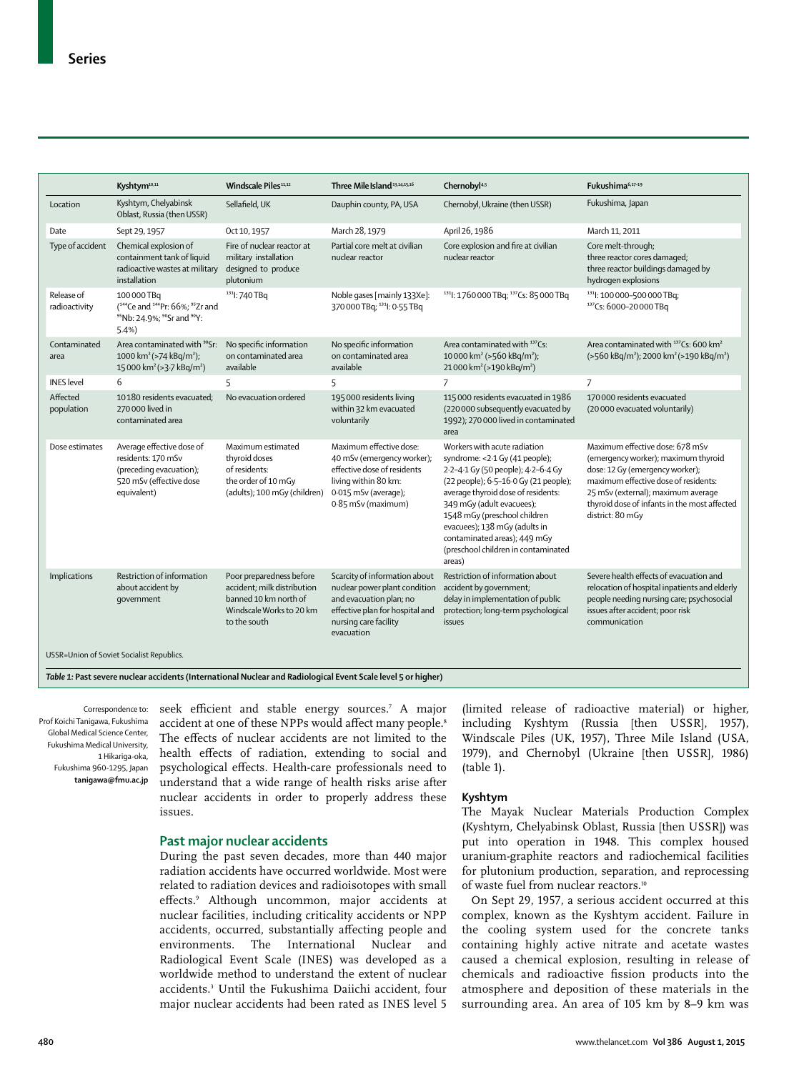|                                                                                                                                                            | Kyshtym <sup>10,11</sup>                                                                                                                                      | Windscale Piles <sup>11,12</sup>                                                                                             | Three Mile Island <sup>13,14,15,16</sup>                                                                                                                            | Chernobyl <sup>4,5</sup>                                                                                                                                                                                                                                                                                                                                           | Fukushima <sup>6,17-19</sup>                                                                                                                                                                                                                                |  |
|------------------------------------------------------------------------------------------------------------------------------------------------------------|---------------------------------------------------------------------------------------------------------------------------------------------------------------|------------------------------------------------------------------------------------------------------------------------------|---------------------------------------------------------------------------------------------------------------------------------------------------------------------|--------------------------------------------------------------------------------------------------------------------------------------------------------------------------------------------------------------------------------------------------------------------------------------------------------------------------------------------------------------------|-------------------------------------------------------------------------------------------------------------------------------------------------------------------------------------------------------------------------------------------------------------|--|
| Location                                                                                                                                                   | Kyshtym, Chelyabinsk<br>Oblast, Russia (then USSR)                                                                                                            | Sellafield, UK                                                                                                               | Dauphin county, PA, USA                                                                                                                                             | Chernobyl, Ukraine (then USSR)                                                                                                                                                                                                                                                                                                                                     | Fukushima, Japan                                                                                                                                                                                                                                            |  |
| Date                                                                                                                                                       | Sept 29, 1957                                                                                                                                                 | Oct 10, 1957                                                                                                                 | March 28, 1979                                                                                                                                                      | April 26, 1986                                                                                                                                                                                                                                                                                                                                                     | March 11, 2011                                                                                                                                                                                                                                              |  |
| Type of accident                                                                                                                                           | Chemical explosion of<br>containment tank of liquid<br>radioactive wastes at military<br>installation                                                         | Fire of nuclear reactor at<br>military installation<br>designed to produce<br>plutonium                                      | Partial core melt at civilian<br>nuclear reactor                                                                                                                    | Core explosion and fire at civilian<br>nuclear reactor                                                                                                                                                                                                                                                                                                             | Core melt-through;<br>three reactor cores damaged;<br>three reactor buildings damaged by<br>hydrogen explosions                                                                                                                                             |  |
| Release of<br>radioactivity                                                                                                                                | 100 000 TBq<br>( <sup>144</sup> Ce and <sup>144</sup> Pr: 66%; <sup>95</sup> Zr and<br><sup>95</sup> Nb: 24.9%; <sup>90</sup> Sr and <sup>90</sup> Y:<br>5.4% | 131 <sub>1</sub> : 740 TBq                                                                                                   | Noble gases [mainly 133Xe]:<br>370 000 TBq; 131 l: 0.55 TBq                                                                                                         | 131 : 1760 000 TBq; 137Cs: 85 000 TBq                                                                                                                                                                                                                                                                                                                              | 131 : 100 000-500 000 TBq;<br>137Cs: 6000-20 000 TBq                                                                                                                                                                                                        |  |
| Contaminated<br>area                                                                                                                                       | Area contaminated with <sup>90</sup> Sr:<br>1000 km <sup>2</sup> (>74 kBq/m <sup>2</sup> );<br>15 000 km <sup>2</sup> (> 3.7 kBq/m <sup>2</sup> )             | No specific information<br>on contaminated area<br>available                                                                 | No specific information<br>on contaminated area<br>available                                                                                                        | Area contaminated with 137Cs:<br>10000 km <sup>2</sup> (>560 kBq/m <sup>2</sup> );<br>21 000 km <sup>2</sup> (>190 kBq/m <sup>2</sup> )                                                                                                                                                                                                                            | Area contaminated with <sup>137</sup> Cs: 600 km <sup>2</sup><br>(>560 kBq/m <sup>2</sup> ); 2000 km <sup>2</sup> (>190 kBq/m <sup>2</sup> )                                                                                                                |  |
| <b>INES</b> level                                                                                                                                          | 6                                                                                                                                                             | 5                                                                                                                            | 5                                                                                                                                                                   | $\overline{7}$                                                                                                                                                                                                                                                                                                                                                     | $\overline{7}$                                                                                                                                                                                                                                              |  |
| Affected<br>population                                                                                                                                     | 10180 residents evacuated;<br>270000 lived in<br>contaminated area                                                                                            | No evacuation ordered                                                                                                        | 195 000 residents living<br>within 32 km evacuated<br>voluntarily                                                                                                   | 115000 residents evacuated in 1986<br>(220 000 subsequently evacuated by<br>1992); 270 000 lived in contaminated<br>area                                                                                                                                                                                                                                           | 170 000 residents evacuated<br>(20000 evacuated voluntarily)                                                                                                                                                                                                |  |
| Dose estimates                                                                                                                                             | Average effective dose of<br>residents: 170 mSv<br>(preceding evacuation);<br>520 mSv (effective dose<br>equivalent)                                          | Maximum estimated<br>thyroid doses<br>of residents:<br>the order of 10 mGy<br>(adults); 100 mGy (children)                   | Maximum effective dose:<br>40 mSv (emergency worker);<br>effective dose of residents<br>living within 80 km:<br>0.015 mSv (average);<br>0.85 mSv (maximum)          | Workers with acute radiation<br>syndrome: <2.1 Gy (41 people);<br>2-2-4-1 Gy (50 people); 4-2-6-4 Gy<br>(22 people); 6-5-16-0 Gy (21 people);<br>average thyroid dose of residents:<br>349 mGy (adult evacuees);<br>1548 mGy (preschool children<br>evacuees); 138 mGy (adults in<br>contaminated areas); 449 mGy<br>(preschool children in contaminated<br>areas) | Maximum effective dose: 678 mSv<br>(emergency worker); maximum thyroid<br>dose: 12 Gy (emergency worker);<br>maximum effective dose of residents:<br>25 mSv (external); maximum average<br>thyroid dose of infants in the most affected<br>district: 80 mGy |  |
| Implications                                                                                                                                               | Restriction of information<br>about accident by<br>qovernment                                                                                                 | Poor preparedness before<br>accident: milk distribution<br>banned 10 km north of<br>Windscale Works to 20 km<br>to the south | Scarcity of information about<br>nuclear power plant condition<br>and evacuation plan; no<br>effective plan for hospital and<br>nursing care facility<br>evacuation | Restriction of information about<br>accident by government;<br>delay in implementation of public<br>protection; long-term psychological<br>issues                                                                                                                                                                                                                  | Severe health effects of evacuation and<br>relocation of hospital inpatients and elderly<br>people needing nursing care; psychosocial<br>issues after accident; poor risk<br>communication                                                                  |  |
| USSR=Union of Soviet Socialist Republics.<br>Table 1: Past severe nuclear accidents (International Nuclear and Radiological Event Scale level 5 or higher) |                                                                                                                                                               |                                                                                                                              |                                                                                                                                                                     |                                                                                                                                                                                                                                                                                                                                                                    |                                                                                                                                                                                                                                                             |  |

Correspondence to: Prof Koichi Tanigawa, Fukushima Global Medical Science Center, Fukushima Medical University, 1 Hikariga-oka, Fukushima 960-1295, Japan **tanigawa@fmu.ac.jp**

seek efficient and stable energy sources.<sup>7</sup> A major accident at one of these NPPs would affect many people.<sup>8</sup> The effects of nuclear accidents are not limited to the health effects of radiation, extending to social and psychological effects. Health-care professionals need to understand that a wide range of health risks arise after nuclear accidents in order to properly address these issues.

#### **Past major nuclear accidents**

During the past seven decades, more than 440 major radiation accidents have occurred worldwide. Most were related to radiation devices and radioisotopes with small eff ects.9 Although uncommon, major accidents at nuclear facilities, including criticality accidents or NPP accidents, occurred, substantially affecting people and environments. The International Nuclear and Radiological Event Scale (INES) was developed as a worldwide method to understand the extent of nuclear accidents.3 Until the Fukushima Daiichi accident, four major nuclear accidents had been rated as INES level 5

(limited release of radioactive material) or higher, including Kyshtym (Russia [then USSR], 1957), Windscale Piles (UK, 1957), Three Mile Island (USA, 1979), and Chernobyl (Ukraine [then USSR], 1986) (table 1).

## **Kyshtym**

The Mayak Nuclear Materials Production Complex (Kyshtym, Chelyabinsk Oblast, Russia [then USSR]) was put into operation in 1948. This complex housed uranium-graphite reactors and radiochemical facilities for plutonium production, separation, and reprocessing of waste fuel from nuclear reactors.<sup>10</sup>

On Sept 29, 1957, a serious accident occurred at this complex, known as the Kyshtym accident. Failure in the cooling system used for the concrete tanks containing highly active nitrate and acetate wastes caused a chemical explosion, resulting in release of chemicals and radioactive fission products into the atmosphere and deposition of these materials in the surrounding area. An area of 105 km by 8–9 km was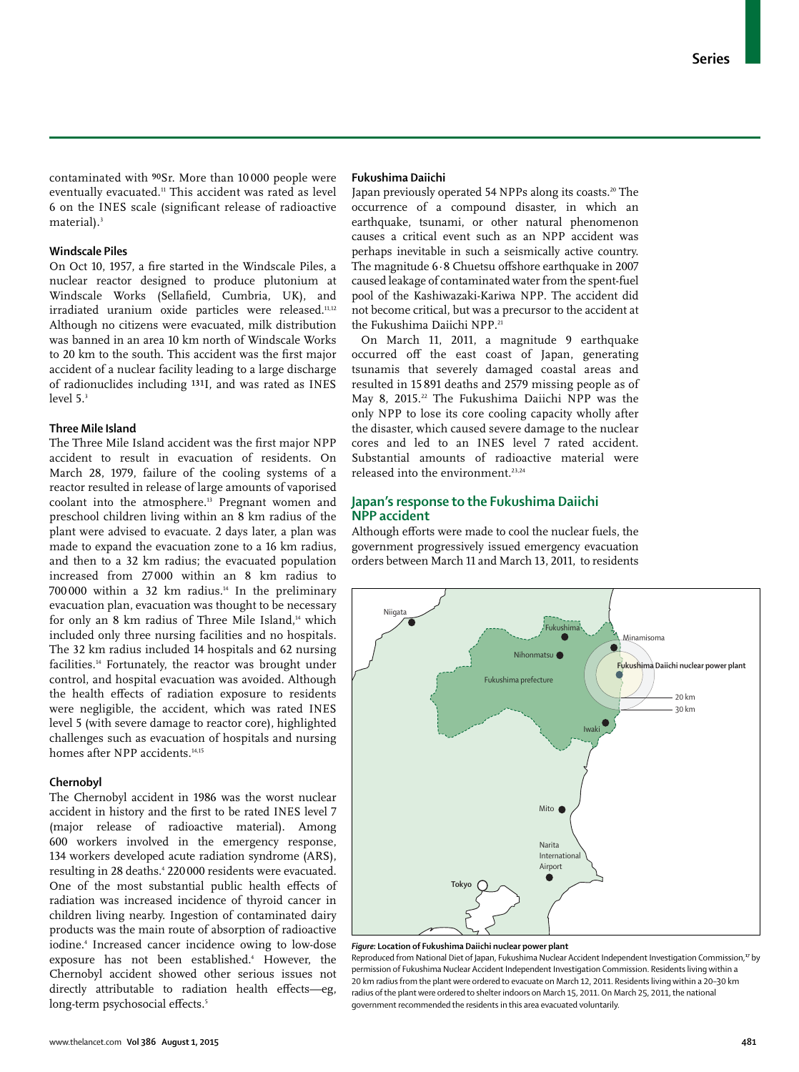contaminated with <sup>90</sup>Sr. More than 10000 people were eventually evacuated.<sup>11</sup> This accident was rated as level 6 on the INES scale (significant release of radioactive material).<sup>3</sup>

## **Windscale Piles**

On Oct 10, 1957, a fire started in the Windscale Piles, a nuclear reactor designed to produce plutonium at Windscale Works (Sellafield, Cumbria, UK), and irradiated uranium oxide particles were released.<sup>11,12</sup> Although no citizens were evacuated, milk distribution was banned in an area 10 km north of Windscale Works to 20 km to the south. This accident was the first major accident of a nuclear facility leading to a large discharge of radionuclides including <sup>131</sup>I, and was rated as INES level 5.<sup>3</sup>

#### **Three Mile Island**

The Three Mile Island accident was the first major NPP accident to result in evacuation of residents. On March 28, 1979, failure of the cooling systems of a reactor resulted in release of large amounts of vaporised coolant into the atmosphere.13 Pregnant women and preschool children living within an 8 km radius of the plant were advised to evacuate. 2 days later, a plan was made to expand the evacuation zone to a 16 km radius, and then to a 32 km radius; the evacuated population increased from 27 000 within an 8 km radius to 700 000 within a 32 km radius.<sup>14</sup> In the preliminary evacuation plan, evacuation was thought to be necessary for only an 8 km radius of Three Mile Island,<sup>14</sup> which included only three nursing facilities and no hospitals. The 32 km radius included 14 hospitals and 62 nursing facilities.14 Fortunately, the reactor was brought under control, and hospital evacuation was avoided. Although the health effects of radiation exposure to residents were negligible, the accident, which was rated INES level 5 (with severe damage to reactor core), highlighted challenges such as evacuation of hospitals and nursing homes after NPP accidents.<sup>14,15</sup>

## **Chernobyl**

The Chernobyl accident in 1986 was the worst nuclear accident in history and the first to be rated INES level 7 (major release of radioactive material). Among 600 workers involved in the emergency response, 134 workers developed acute radiation syndrome (ARS), resulting in 28 deaths.4 220 000 residents were evacuated. One of the most substantial public health effects of radiation was increased incidence of thyroid cancer in children living nearby. Ingestion of contaminated dairy products was the main route of absorption of radioactive iodine.4 Increased cancer incidence owing to low-dose exposure has not been established.4 However, the Chernobyl accident showed other serious issues not directly attributable to radiation health effects-eg. long-term psychosocial effects.<sup>5</sup>

#### **Fukushima Daiichi**

Japan previously operated 54 NPPs along its coasts.<sup>20</sup> The occurrence of a compound disaster, in which an earthquake, tsunami, or other natural phenomenon causes a critical event such as an NPP accident was perhaps inevitable in such a seismically active country. The magnitude  $6.8$  Chuetsu offshore earthquake in 2007 caused leakage of contaminated water from the spent-fuel pool of the Kashiwazaki-Kariwa NPP. The accident did not become critical, but was a precursor to the accident at the Fukushima Daiichi NPP.<sup>21</sup>

On March 11, 2011, a magnitude 9 earthquake occurred off the east coast of Japan, generating tsunamis that severely damaged coastal areas and resulted in 15 891 deaths and 2579 missing people as of May 8, 2015.22 The Fukushima Daiichi NPP was the only NPP to lose its core cooling capacity wholly after the disaster, which caused severe damage to the nuclear cores and led to an INES level 7 rated accident. Substantial amounts of radioactive material were released into the environment.23,24

# **Japan's response to the Fukushima Daiichi NPP accident**

Although efforts were made to cool the nuclear fuels, the government progressively issued emergency evacuation orders between March 11 and March 13, 2011, to residents



*Figure:* **Location of Fukushima Daiichi nuclear power plant**

Reproduced from National Diet of Japan, Fukushima Nuclear Accident Independent Investigation Commission,**17** by permission of Fukushima Nuclear Accident Independent Investigation Commission. Residents living within a 20 km radius from the plant were ordered to evacuate on March 12, 2011. Residents living within a 20–30 km radius of the plant were ordered to shelter indoors on March 15, 2011. On March 25, 2011, the national government recommended the residents in this area evacuated voluntarily.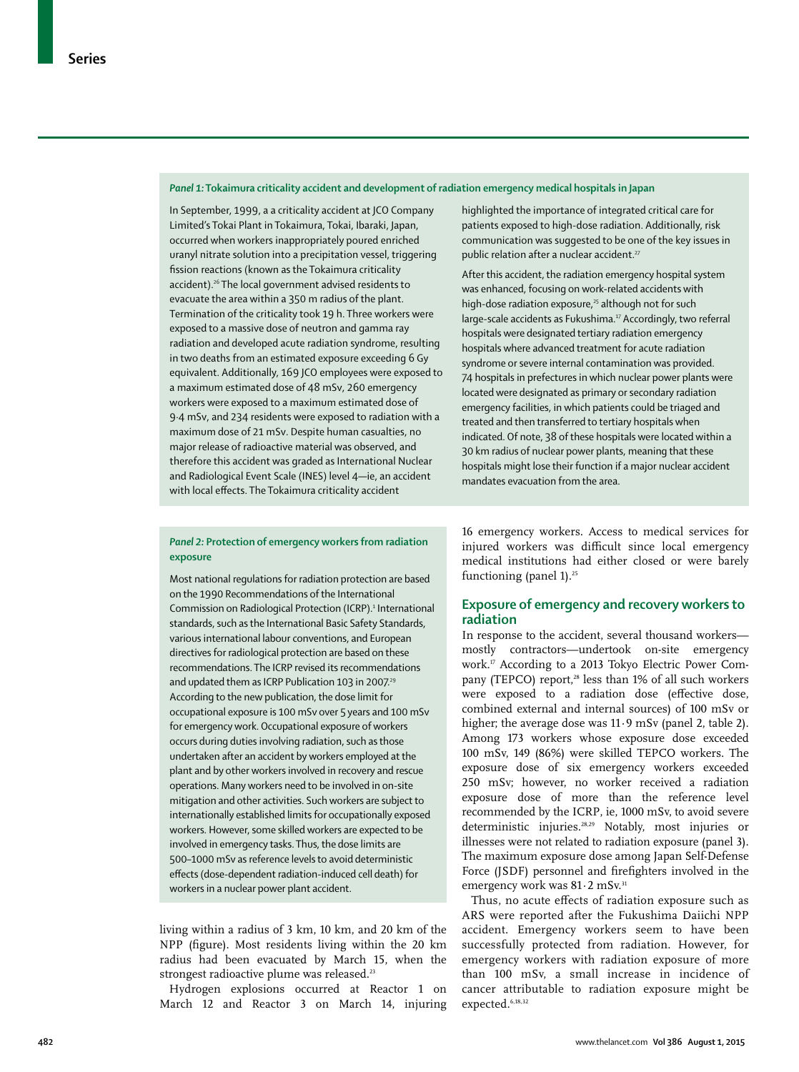#### *Panel 1:* **Tokaimura criticality accident and development of radiation emergency medical hospitals in Japan**

In September, 1999, a a criticality accident at JCO Company Limited's Tokai Plant in Tokaimura, Tokai, Ibaraki, Japan, occurred when workers inappropriately poured enriched uranyl nitrate solution into a precipitation vessel, triggering fission reactions (known as the Tokaimura criticality accident).<sup>26</sup> The local government advised residents to evacuate the area within a 350 m radius of the plant. Termination of the criticality took 19 h. Three workers were exposed to a massive dose of neutron and gamma ray radiation and developed acute radiation syndrome, resulting in two deaths from an estimated exposure exceeding 6 Gy equivalent. Additionally, 169 JCO employees were exposed to a maximum estimated dose of 48 mSv, 260 emergency workers were exposed to a maximum estimated dose of 9·4 mSv, and 234 residents were exposed to radiation with a maximum dose of 21 mSv. Despite human casualties, no major release of radioactive material was observed, and therefore this accident was graded as International Nuclear and Radiological Event Scale (INES) level 4—ie, an accident with local effects. The Tokaimura criticality accident

highlighted the importance of integrated critical care for patients exposed to high-dose radiation. Additionally, risk communication was suggested to be one of the key issues in public relation after a nuclear accident.<sup>27</sup>

After this accident, the radiation emergency hospital system was enhanced, focusing on work-related accidents with high-dose radiation exposure,<sup>25</sup> although not for such large-scale accidents as Fukushima.<sup>17</sup> Accordingly, two referral hospitals were designated tertiary radiation emergency hospitals where advanced treatment for acute radiation syndrome or severe internal contamination was provided. 74 hospitals in prefectures in which nuclear power plants were located were designated as primary or secondary radiation emergency facilities, in which patients could be triaged and treated and then transferred to tertiary hospitals when indicated. Of note, 38 of these hospitals were located within a 30 km radius of nuclear power plants, meaning that these hospitals might lose their function if a major nuclear accident mandates evacuation from the area.

#### *Panel 2:* **Protection of emergency workers from radiation exposure**

Most national regulations for radiation protection are based on the 1990 Recommendations of the International Commission on Radiological Protection (ICRP).<sup>1</sup> International standards, such as the International Basic Safety Standards, various international labour conventions, and European directives for radiological protection are based on these recommendations. The ICRP revised its recommendations and updated them as ICRP Publication 103 in 2007.<sup>29</sup> According to the new publication, the dose limit for occupational exposure is 100 mSv over 5 years and 100 mSv for emergency work. Occupational exposure of workers occurs during duties involving radiation, such as those undertaken after an accident by workers employed at the plant and by other workers involved in recovery and rescue operations. Many workers need to be involved in on-site mitigation and other activities. Such workers are subject to internationally established limits for occupationally exposed workers. However, some skilled workers are expected to be involved in emergency tasks. Thus, the dose limits are 500–1000 mSv as reference levels to avoid deterministic effects (dose-dependent radiation-induced cell death) for workers in a nuclear power plant accident.

living within a radius of 3 km, 10 km, and 20 km of the NPP (figure). Most residents living within the 20 km radius had been evacuated by March 15, when the strongest radioactive plume was released.<sup>23</sup>

Hydrogen explosions occurred at Reactor 1 on March 12 and Reactor 3 on March 14, injuring

16 emergency workers. Access to medical services for injured workers was difficult since local emergency medical institutions had either closed or were barely functioning (panel 1).<sup>25</sup>

## **Exposure of emergency and recovery workers to radiation**

In response to the accident, several thousand workers mostly contractors—undertook on-site emergency work.17 According to a 2013 Tokyo Electric Power Company (TEPCO) report,<sup>28</sup> less than 1% of all such workers were exposed to a radiation dose (effective dose, combined external and internal sources) of 100 mSv or higher; the average dose was 11.9 mSv (panel 2, table 2). Among 173 workers whose exposure dose exceeded 100 mSv, 149 (86%) were skilled TEPCO workers. The exposure dose of six emergency workers exceeded 250 mSv; however, no worker received a radiation exposure dose of more than the reference level recommended by the ICRP, ie, 1000 mSv, to avoid severe deterministic injuries.<sup>28,29</sup> Notably, most injuries or illnesses were not related to radiation exposure (panel 3). The maximum exposure dose among Japan Self-Defense Force (JSDF) personnel and firefighters involved in the emergency work was  $81.2$  mSv.<sup>31</sup>

Thus, no acute effects of radiation exposure such as ARS were reported after the Fukushima Daiichi NPP accident. Emergency workers seem to have been successfully protected from radiation. However, for emergency workers with radiation exposure of more than 100 mSv, a small increase in incidence of cancer attributable to radiation exposure might be expected.<sup>6,18,32</sup>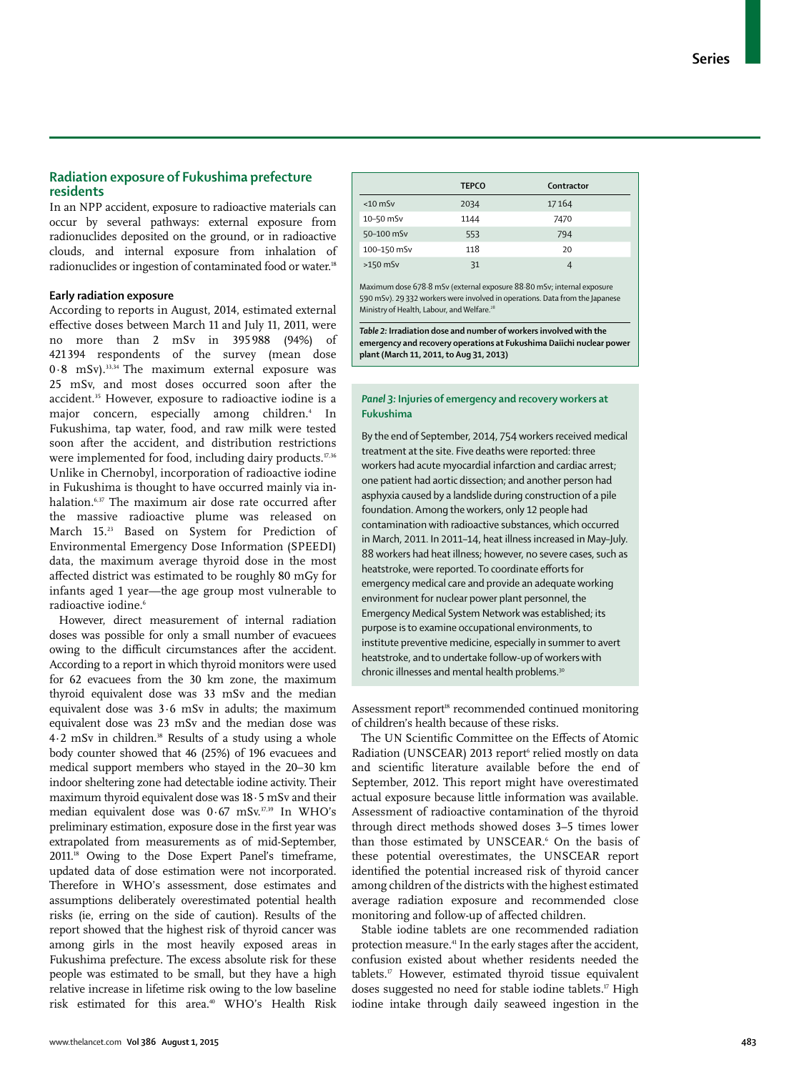## **Radiation exposure of Fukushima prefecture residents**

In an NPP accident, exposure to radioactive materials can occur by several pathways: external exposure from radionuclides deposited on the ground, or in radioactive clouds, and internal exposure from inhalation of radionuclides or ingestion of contaminated food or water.<sup>18</sup>

#### **Early radiation exposure**

According to reports in August, 2014, estimated external effective doses between March 11 and July 11, 2011, were no more than 2 mSv in 395 988 (94%) of 421 394 respondents of the survey (mean dose  $0.8$  mSv).<sup>33,34</sup> The maximum external exposure was 25 mSv, and most doses occurred soon after the accident.35 However, exposure to radioactive iodine is a major concern, especially among children.4 In Fukushima, tap water, food, and raw milk were tested soon after the accident, and distribution restrictions were implemented for food, including dairy products.<sup>17,36</sup> Unlike in Chernobyl, incorporation of radioactive iodine in Fukushima is thought to have occurred mainly via inhalation.6,37 The maximum air dose rate occurred after the massive radioactive plume was released on March 15.23 Based on System for Prediction of Environmental Emergency Dose Information (SPEEDI) data, the maximum average thyroid dose in the most affected district was estimated to be roughly 80 mGy for infants aged 1 year—the age group most vulnerable to radioactive iodine.6

However, direct measurement of internal radiation doses was possible for only a small number of evacuees owing to the difficult circumstances after the accident. According to a report in which thyroid monitors were used for 62 evacuees from the 30 km zone, the maximum thyroid equivalent dose was 33 mSv and the median equivalent dose was 3·6 mSv in adults; the maximum equivalent dose was 23 mSv and the median dose was 4·2 mSv in children.38 Results of a study using a whole body counter showed that 46 (25%) of 196 evacuees and medical support members who stayed in the 20–30 km indoor sheltering zone had detectable iodine activity. Their maximum thyroid equivalent dose was 18·5 mSv and their median equivalent dose was  $0.67$  mSv.<sup>37,39</sup> In WHO's preliminary estimation, exposure dose in the first year was extrapolated from measurements as of mid-September, 2011.<sup>18</sup> Owing to the Dose Expert Panel's timeframe, updated data of dose estimation were not incorporated. Therefore in WHO's assessment, dose estimates and assumptions deliberately overestimated potential health risks (ie, erring on the side of caution). Results of the report showed that the highest risk of thyroid cancer was among girls in the most heavily exposed areas in Fukushima prefecture. The excess absolute risk for these people was estimated to be small, but they have a high relative increase in lifetime risk owing to the low baseline risk estimated for this area.40 WHO's Health Risk

|             | <b>TEPCO</b> | Contractor |
|-------------|--------------|------------|
| $< 10$ mSv  | 2034         | 17164      |
| 10-50 mSv   | 1144         | 7470       |
| 50-100 mSv  | 553          | 794        |
| 100-150 mSv | 118          | 20         |
| $>150$ mSv  | 31           |            |

Maximum dose 678·8 mSv (external exposure 88·80 mSv; internal exposure 590 mSv). 29 332 workers were involved in operations. Data from the Japanese Ministry of Health, Labour, and Welfare.<sup>28</sup>

*Table 2:* **Irradiation dose and number of workers involved with the emergency and recovery operations at Fukushima Daiichi nuclear power plant (March 11, 2011, to Aug 31, 2013)**

#### *Panel 3:* **Injuries of emergency and recovery workers at Fukushima**

By the end of September, 2014, 754 workers received medical treatment at the site. Five deaths were reported: three workers had acute myocardial infarction and cardiac arrest; one patient had aortic dissection; and another person had asphyxia caused by a landslide during construction of a pile foundation. Among the workers, only 12 people had contamination with radioactive substances, which occurred in March, 2011. In 2011–14, heat illness increased in May–July. 88 workers had heat illness; however, no severe cases, such as heatstroke, were reported. To coordinate efforts for emergency medical care and provide an adequate working environment for nuclear power plant personnel, the Emergency Medical System Network was established; its purpose is to examine occupational environments, to institute preventive medicine, especially in summer to avert heatstroke, and to undertake follow-up of workers with chronic illnesses and mental health problems.<sup>30</sup>

Assessment report<sup>18</sup> recommended continued monitoring of children's health because of these risks.

The UN Scientific Committee on the Effects of Atomic Radiation (UNSCEAR) 2013 report<sup>6</sup> relied mostly on data and scientific literature available before the end of September, 2012. This report might have overestimated actual exposure because little information was available. Assessment of radioactive contamination of the thyroid through direct methods showed doses 3–5 times lower than those estimated by UNSCEAR.<sup>6</sup> On the basis of these potential overestimates, the UNSCEAR report identified the potential increased risk of thyroid cancer among children of the districts with the highest estimated average radiation exposure and recommended close monitoring and follow-up of affected children.

Stable iodine tablets are one recommended radiation protection measure.41 In the early stages after the accident, confusion existed about whether residents needed the tablets.<sup>17</sup> However, estimated thyroid tissue equivalent doses suggested no need for stable iodine tablets.<sup>17</sup> High iodine intake through daily seaweed ingestion in the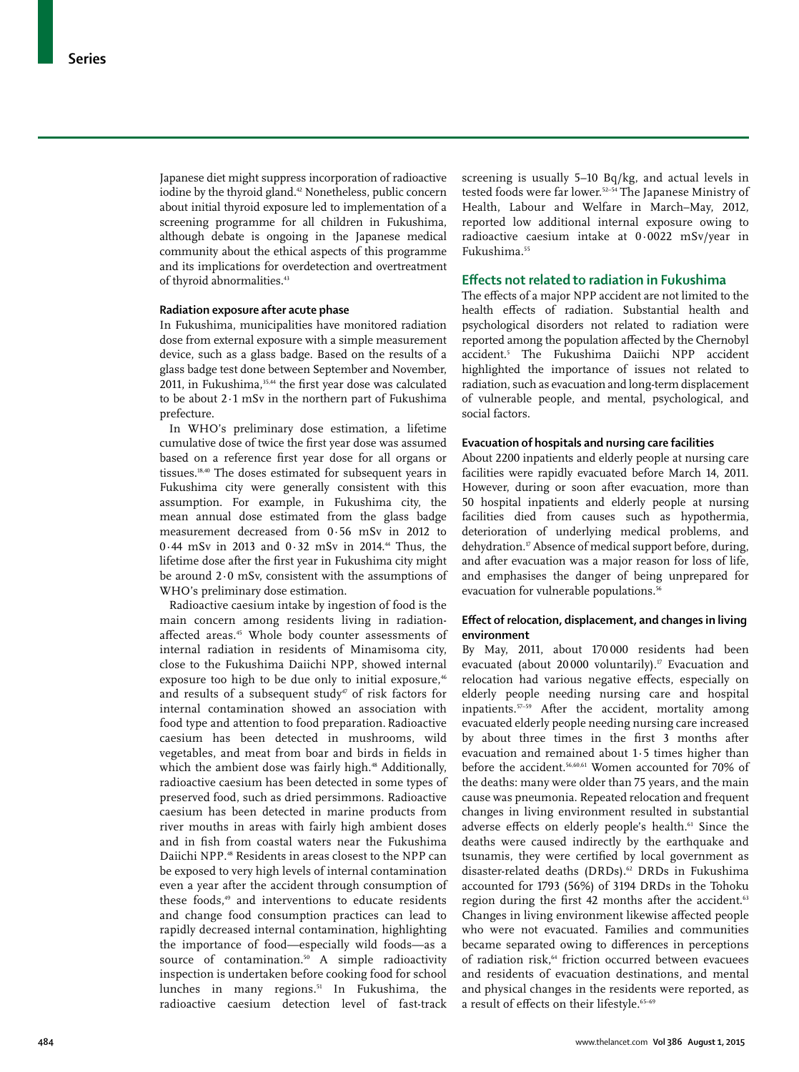Japanese diet might suppress incorporation of radioactive iodine by the thyroid gland.<sup>42</sup> Nonetheless, public concern about initial thyroid exposure led to implementation of a screening programme for all children in Fukushima, although debate is ongoing in the Japanese medical community about the ethical aspects of this programme and its implications for overdetection and overtreatment of thyroid abnormalities.<sup>43</sup>

## **Radiation exposure after acute phase**

In Fukushima, municipalities have monitored radiation dose from external exposure with a simple measurement device, such as a glass badge. Based on the results of a glass badge test done between September and November, 2011, in Fukushima,<sup>35,44</sup> the first year dose was calculated to be about 2·1 mSv in the northern part of Fukushima prefecture.

In WHO's preliminary dose estimation, a lifetime cumulative dose of twice the first year dose was assumed based on a reference first year dose for all organs or tissues.18,40 The doses estimated for subsequent years in Fukushima city were generally consistent with this assumption. For example, in Fukushima city, the mean annual dose estimated from the glass badge measurement decreased from 0·56 mSv in 2012 to 0.44 mSv in 2013 and  $0.32$  mSv in 2014.<sup>44</sup> Thus, the lifetime dose after the first year in Fukushima city might be around 2·0 mSv, consistent with the assumptions of WHO's preliminary dose estimation.

Radioactive caesium intake by ingestion of food is the main concern among residents living in radiationaffected areas.<sup>45</sup> Whole body counter assessments of internal radiation in residents of Minamisoma city, close to the Fukushima Daiichi NPP, showed internal exposure too high to be due only to initial exposure,<sup>46</sup> and results of a subsequent study<sup>47</sup> of risk factors for internal contamination showed an association with food type and attention to food preparation. Radioactive caesium has been detected in mushrooms, wild vegetables, and meat from boar and birds in fields in which the ambient dose was fairly high.<sup>48</sup> Additionally, radioactive caesium has been detected in some types of preserved food, such as dried persimmons. Radioactive caesium has been detected in marine products from river mouths in areas with fairly high ambient doses and in fish from coastal waters near the Fukushima Daiichi NPP.48 Residents in areas closest to the NPP can be exposed to very high levels of internal contamination even a year after the accident through consumption of these foods,<sup>49</sup> and interventions to educate residents and change food consumption practices can lead to rapidly decreased internal contamination, highlighting the importance of food—especially wild foods—as a source of contamination.<sup>50</sup> A simple radioactivity inspection is undertaken before cooking food for school lunches in many regions.51 In Fukushima, the radioactive caesium detection level of fast-track

screening is usually 5–10 Bq/kg, and actual levels in tested foods were far lower.52–54 The Japanese Ministry of Health, Labour and Welfare in March–May, 2012, reported low additional internal exposure owing to radioactive caesium intake at 0·0022 mSv/year in Fukushima.55

# **Eff ects not related to radiation in Fukushima**

The effects of a major NPP accident are not limited to the health effects of radiation. Substantial health and psychological disorders not related to radiation were reported among the population affected by the Chernobyl accident.5 The Fukushima Daiichi NPP accident highlighted the importance of issues not related to radiation, such as evacuation and long-term displacement of vulnerable people, and mental, psychological, and social factors.

## **Evacuation of hospitals and nursing care facilities**

About 2200 inpatients and elderly people at nursing care facilities were rapidly evacuated before March 14, 2011. However, during or soon after evacuation, more than 50 hospital inpatients and elderly people at nursing facilities died from causes such as hypothermia, deterioration of underlying medical problems, and dehydration.17 Absence of medical support before, during, and after evacuation was a major reason for loss of life, and emphasises the danger of being unprepared for evacuation for vulnerable populations.<sup>56</sup>

## **Eff ect of relocation, displacement, and changes in living environment**

By May, 2011, about 170 000 residents had been evacuated (about 20000 voluntarily). $17$  Evacuation and relocation had various negative effects, especially on elderly people needing nursing care and hospital inpatients.57–59 After the accident, mortality among evacuated elderly people needing nursing care increased by about three times in the first 3 months after evacuation and remained about 1·5 times higher than before the accident.56,60,61 Women accounted for 70% of the deaths: many were older than 75 years, and the main cause was pneumonia. Repeated relocation and frequent changes in living environment resulted in substantial adverse effects on elderly people's health.<sup>61</sup> Since the deaths were caused indirectly by the earthquake and tsunamis, they were certified by local government as disaster-related deaths (DRDs).<sup>62</sup> DRDs in Fukushima accounted for 1793 (56%) of 3194 DRDs in the Tohoku region during the first 42 months after the accident.<sup>63</sup> Changes in living environment likewise affected people who were not evacuated. Families and communities became separated owing to differences in perceptions of radiation risk,<sup>64</sup> friction occurred between evacuees and residents of evacuation destinations, and mental and physical changes in the residents were reported, as a result of effects on their lifestyle.<sup>65-69</sup>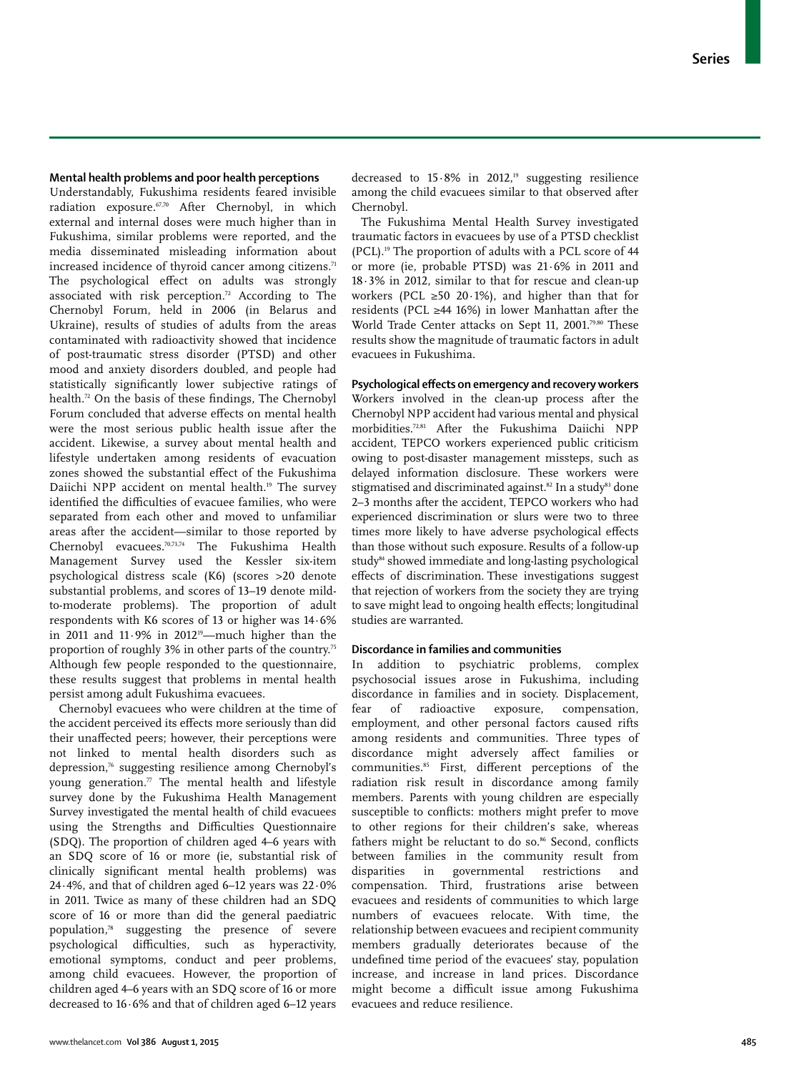# **Mental health problems and poor health perceptions**

Understandably, Fukushima residents feared invisible radiation exposure.<sup>67,70</sup> After Chernobyl, in which external and internal doses were much higher than in Fukushima, similar problems were reported, and the media disseminated misleading information about increased incidence of thyroid cancer among citizens.<sup>71</sup> The psychological effect on adults was strongly associated with risk perception.<sup>72</sup> According to The Chernobyl Forum, held in 2006 (in Belarus and Ukraine), results of studies of adults from the areas contaminated with radioactivity showed that incidence of post-traumatic stress disorder (PTSD) and other mood and anxiety disorders doubled, and people had statistically significantly lower subjective ratings of health.<sup>72</sup> On the basis of these findings, The Chernobyl Forum concluded that adverse effects on mental health were the most serious public health issue after the accident. Likewise, a survey about mental health and lifestyle undertaken among residents of evacuation zones showed the substantial effect of the Fukushima Daiichi NPP accident on mental health.19 The survey identified the difficulties of evacuee families, who were separated from each other and moved to unfamiliar areas after the accident—similar to those reported by Chernobyl evacuees.70,73,74 The Fukushima Health Management Survey used the Kessler six-item psychological distress scale (K6) (scores >20 denote substantial problems, and scores of 13–19 denote mildto-moderate problems). The proportion of adult respondents with K6 scores of 13 or higher was 14·6% in 2011 and 11.9% in 2012<sup>19</sup>—much higher than the proportion of roughly 3% in other parts of the country.<sup>75</sup> Although few people responded to the questionnaire, these results suggest that problems in mental health persist among adult Fukushima evacuees.

Chernobyl evacuees who were children at the time of the accident perceived its effects more seriously than did their unaffected peers; however, their perceptions were not linked to mental health disorders such as depression,<sup>76</sup> suggesting resilience among Chernobyl's young generation. $\pi$  The mental health and lifestyle survey done by the Fukushima Health Management Survey investigated the mental health of child evacuees using the Strengths and Difficulties Questionnaire (SDQ). The proportion of children aged 4–6 years with an SDQ score of 16 or more (ie, substantial risk of clinically significant mental health problems) was 24·4%, and that of children aged 6–12 years was 22·0% in 2011. Twice as many of these children had an SDQ score of 16 or more than did the general paediatric population,78 suggesting the presence of severe psychological difficulties, such as hyperactivity, emotional symptoms, conduct and peer problems, among child evacuees. However, the proportion of children aged 4–6 years with an SDQ score of 16 or more decreased to 16·6% and that of children aged 6–12 years

decreased to  $15.8\%$  in 2012,<sup>19</sup> suggesting resilience among the child evacuees similar to that observed after Chernobyl.

The Fukushima Mental Health Survey investigated traumatic factors in evacuees by use of a PTSD checklist (PCL).19 The proportion of adults with a PCL score of 44 or more (ie, probable PTSD) was 21·6% in 2011 and 18·3% in 2012, similar to that for rescue and clean-up workers (PCL ≥50 20·1%), and higher than that for residents (PCL ≥44 16%) in lower Manhattan after the World Trade Center attacks on Sept 11, 2001.<sup>79,80</sup> These results show the magnitude of traumatic factors in adult evacuees in Fukushima.

## Psychological effects on emergency and recovery workers

Workers involved in the clean-up process after the Chernobyl NPP accident had various mental and physical morbidities.72,81 After the Fukushima Daiichi NPP accident, TEPCO workers experienced public criticism owing to post-disaster management missteps, such as delayed information disclosure. These workers were stigmatised and discriminated against.<sup>82</sup> In a study<sup>83</sup> done 2–3 months after the accident, TEPCO workers who had experienced discrimination or slurs were two to three times more likely to have adverse psychological effects than those without such exposure. Results of a follow-up study<sup>84</sup> showed immediate and long-lasting psychological effects of discrimination. These investigations suggest that rejection of workers from the society they are trying to save might lead to ongoing health effects; longitudinal studies are warranted.

## **Discordance in families and communities**

In addition to psychiatric problems, complex psychosocial issues arose in Fukushima, including discordance in families and in society. Displacement, fear of radioactive exposure, compensation, employment, and other personal factors caused rifts among residents and communities. Three types of discordance might adversely affect families or communities.<sup>85</sup> First, different perceptions of the radiation risk result in discordance among family members. Parents with young children are especially susceptible to conflicts: mothers might prefer to move to other regions for their children's sake, whereas fathers might be reluctant to do so.<sup>86</sup> Second, conflicts between families in the community result from disparities in governmental restrictions and compensation. Third, frustrations arise between evacuees and residents of communities to which large numbers of evacuees relocate. With time, the relationship between evacuees and recipient community members gradually deteriorates because of the undefined time period of the evacuees' stay, population increase, and increase in land prices. Discordance might become a difficult issue among Fukushima evacuees and reduce resilience.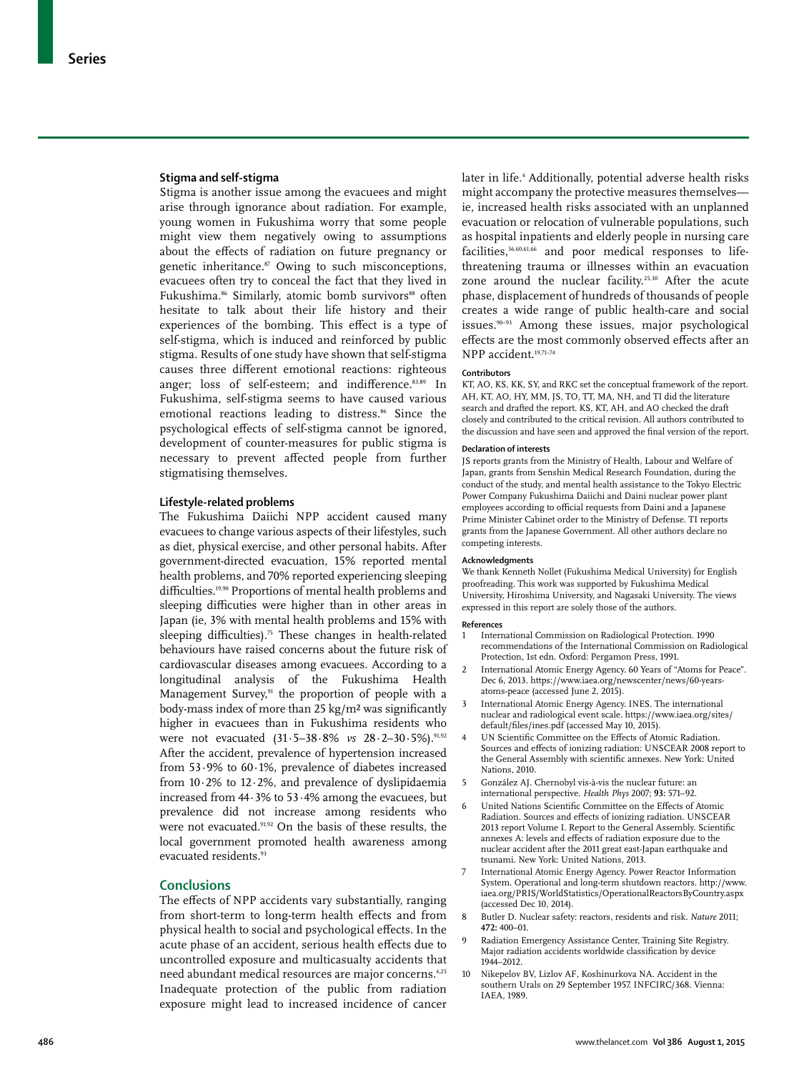#### **Stigma and self-stigma**

Stigma is another issue among the evacuees and might arise through ignorance about radiation. For example, young women in Fukushima worry that some people might view them negatively owing to assumptions about the effects of radiation on future pregnancy or genetic inheritance.<sup>87</sup> Owing to such misconceptions, evacuees often try to conceal the fact that they lived in Fukushima.<sup>86</sup> Similarly, atomic bomb survivors<sup>88</sup> often hesitate to talk about their life history and their experiences of the bombing. This effect is a type of self-stigma, which is induced and reinforced by public stigma. Results of one study have shown that self-stigma causes three different emotional reactions: righteous anger; loss of self-esteem; and indifference.83,89 In Fukushima, self-stigma seems to have caused various emotional reactions leading to distress.<sup>86</sup> Since the psychological effects of self-stigma cannot be ignored, development of counter-measures for public stigma is necessary to prevent affected people from further stigmatising themselves.

## **Lifestyle-related problems**

The Fukushima Daiichi NPP accident caused many evacuees to change various aspects of their lifestyles, such as diet, physical exercise, and other personal habits. After government-directed evacuation, 15% reported mental health problems, and 70% reported experiencing sleeping difficulties.<sup>19,90</sup> Proportions of mental health problems and sleeping difficuties were higher than in other areas in Japan (ie, 3% with mental health problems and 15% with sleeping difficulties).<sup>75</sup> These changes in health-related behaviours have raised concerns about the future risk of cardiovascular diseases among evacuees. According to a longitudinal analysis of the Fukushima Health Management Survey,<sup>91</sup> the proportion of people with a body-mass index of more than 25 kg/m<sup>2</sup> was significantly higher in evacuees than in Fukushima residents who were not evacuated (31·5–38·8% *vs* 28·2–30·5%).91,92 After the accident, prevalence of hypertension increased from 53·9% to 60·1%, prevalence of diabetes increased from 10·2% to 12·2%, and prevalence of dyslipidaemia increased from 44·3% to 53·4% among the evacuees, but prevalence did not increase among residents who were not evacuated.<sup>91,92</sup> On the basis of these results, the local government promoted health awareness among evacuated residents.<sup>93</sup>

#### **Conclusions**

The effects of NPP accidents vary substantially, ranging from short-term to long-term health effects and from physical health to social and psychological effects. In the acute phase of an accident, serious health effects due to uncontrolled exposure and multicasualty accidents that need abundant medical resources are major concerns.<sup>4,25</sup> Inadequate protection of the public from radiation exposure might lead to increased incidence of cancer

later in life.4 Additionally, potential adverse health risks might accompany the protective measures themselves ie, increased health risks associated with an unplanned evacuation or relocation of vulnerable populations, such as hospital inpatients and elderly people in nursing care facilities,<sup>56,60,61,66</sup> and poor medical responses to lifethreatening trauma or illnesses within an evacuation zone around the nuclear facility.<sup>25,30</sup> After the acute phase, displacement of hundreds of thousands of people creates a wide range of public health-care and social issues.90–93 Among these issues, major psychological effects are the most commonly observed effects after an NPP accident.19,71–74

#### **Contributors**

KT, AO, KS, KK, SY, and RKC set the conceptual framework of the report. AH, KT, AO, HY, MM, JS, TO, TT, MA, NH, and TI did the literature search and drafted the report. KS, KT, AH, and AO checked the draft closely and contributed to the critical revision. All authors contributed to the discussion and have seen and approved the final version of the report.

#### **Declaration of interests**

JS reports grants from the Ministry of Health, Labour and Welfare of Japan, grants from Senshin Medical Research Foundation, during the conduct of the study, and mental health assistance to the Tokyo Electric Power Company Fukushima Daiichi and Daini nuclear power plant employees according to official requests from Daini and a Japanese Prime Minister Cabinet order to the Ministry of Defense. TI reports grants from the Japanese Government. All other authors declare no competing interests.

#### **Acknowledgments**

We thank Kenneth Nollet (Fukushima Medical University) for English proofreading. This work was supported by Fukushima Medical University, Hiroshima University, and Nagasaki University. The views expressed in this report are solely those of the authors.

#### **References**

- 1 International Commission on Radiological Protection. 1990 recommendations of the International Commission on Radiological Protection, 1st edn. Oxford: Pergamon Press, 1991.
- 2 International Atomic Energy Agency. 60 Years of "Atoms for Peace". Dec 6, 2013. https://www.iaea.org/newscenter/news/60-yearsatoms-peace (accessed June 2, 2015).
- International Atomic Energy Agency. INES. The international nuclear and radiological event scale. https://www.iaea.org/sites/ default/files/ines.pdf (accessed May 10, 2015).
- 4 UN Scientific Committee on the Effects of Atomic Radiation. Sources and effects of ionizing radiation: UNSCEAR 2008 report to the General Assembly with scientific annexes. New York: United Nations, 2010.
- 5 González AJ. Chernobyl vis-à-vis the nuclear future: an international perspective. *Health Phys* 2007; **93:** 571–92.
- United Nations Scientific Committee on the Effects of Atomic Radiation. Sources and effects of ionizing radiation. UNSCEAR 2013 report Volume I. Report to the General Assembly. Scientific annexes A: levels and effects of radiation exposure due to the nuclear accident after the 2011 great east-Japan earthquake and tsunami. New York: United Nations, 2013.
- 7 International Atomic Energy Agency. Power Reactor Information System. Operational and long-term shutdown reactors. http://www. iaea.org/PRIS/WorldStatistics/OperationalReactorsByCountry.aspx (accessed Dec 10, 2014).
- 8 Butler D. Nuclear safety: reactors, residents and risk. *Nature* 2011; **472:** 400–01.
- 9 Radiation Emergency Assistance Center, Training Site Registry. Major radiation accidents worldwide classification by device 1944–2012.
- 10 Nikepelov BV, Lizlov AF, Koshinurkova NA. Accident in the southern Urals on 29 September 1957. INFCIRC/368. Vienna: IAEA, 1989.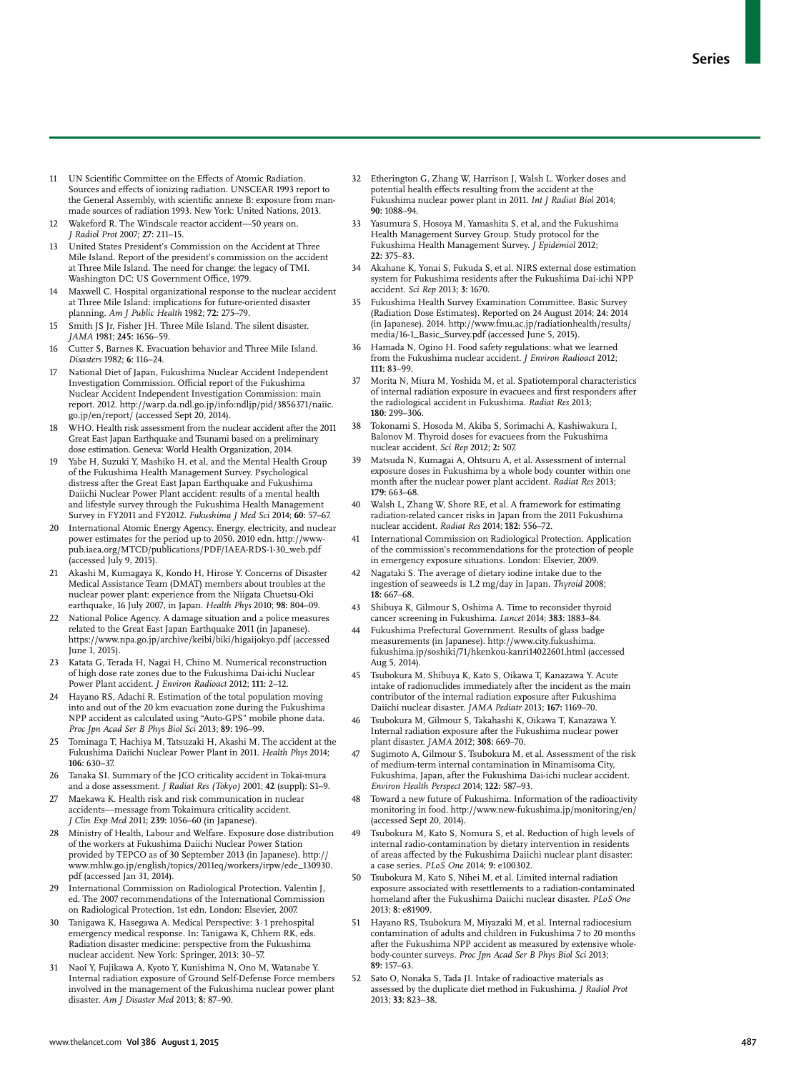- 11 UN Scientific Committee on the Effects of Atomic Radiation. Sources and effects of ionizing radiation. UNSCEAR 1993 report to the General Assembly, with scientific annexe B: exposure from manmade sources of radiation 1993. New York: United Nations, 2013.
- 12 Wakeford R. The Windscale reactor accident—50 years on. *J Radiol Prot* 2007; **27:** 211–15.
- 13 United States President's Commission on the Accident at Three Mile Island. Report of the president's commission on the accident at Three Mile Island. The need for change: the legacy of TMI. Washington DC: US Government Office, 1979.
- 14 Maxwell C. Hospital organizational response to the nuclear accident at Three Mile Island: implications for future-oriented disaster planning. *Am J Public Health* 1982; **72:** 275–79.
- 15 Smith JS Jr, Fisher JH. Three Mile Island. The silent disaster. *JAMA* 1981; **245:** 1656–59.
- 16 Cutter S, Barnes K. Evacuation behavior and Three Mile Island. *Disasters* 1982; **6:** 116–24.
- 17 National Diet of Japan, Fukushima Nuclear Accident Independent Investigation Commission. Official report of the Fukushima Nuclear Accident Independent Investigation Commission: main report. 2012. http://warp.da.ndl.go.jp/info:ndljp/pid/3856371/naiic. go.jp/en/report/ (accessed Sept 20, 2014).
- 18 WHO. Health risk assessment from the nuclear accident after the 2011 Great East Japan Earthquake and Tsunami based on a preliminary dose estimation. Geneva: World Health Organization, 2014.
- 19 Yabe H, Suzuki Y, Mashiko H, et al, and the Mental Health Group of the Fukushima Health Management Survey. Psychological distress after the Great East Japan Earthquake and Fukushima Daiichi Nuclear Power Plant accident: results of a mental health and lifestyle survey through the Fukushima Health Management Survey in FY2011 and FY2012. *Fukushima J Med Sci* 2014; **60:** 57–67.
- 20 International Atomic Energy Agency. Energy, electricity, and nuclear power estimates for the period up to 2050. 2010 edn. http://wwwpub.iaea.org/MTCD/publications/PDF/IAEA-RDS-1-30\_web.pdf (accessed July 9, 2015).
- 21 Akashi M, Kumagaya K, Kondo H, Hirose Y. Concerns of Disaster Medical Assistance Team (DMAT) members about troubles at the nuclear power plant: experience from the Niigata Chuetsu-Oki earthquake, 16 July 2007, in Japan. *Health Phys* 2010; **98:** 804–09.
- 22 National Police Agency. A damage situation and a police measures related to the Great East Japan Earthquake 2011 (in Japanese). https://www.npa.go.jp/archive/keibi/biki/higaijokyo.pdf (accessed June 1, 2015).
- 23 Katata G, Terada H, Nagai H, Chino M. Numerical reconstruction of high dose rate zones due to the Fukushima Dai-ichi Nuclear Power Plant accident. *J Environ Radioact* 2012; **111:** 2–12.
- Hayano RS, Adachi R. Estimation of the total population moving into and out of the 20 km evacuation zone during the Fukushima NPP accident as calculated using "Auto-GPS" mobile phone data. *Proc Jpn Acad Ser B Phys Biol Sci* 2013; **89:** 196–99.
- 25 Tominaga T, Hachiya M, Tatsuzaki H, Akashi M. The accident at the Fukushima Daiichi Nuclear Power Plant in 2011. *Health Phys* 2014; **106:** 630–37.
- 26 Tanaka SI. Summary of the JCO criticality accident in Tokai-mura and a dose assessment. *J Radiat Res (Tokyo)* 2001; **42** (suppl)**:** S1–9.
- Maekawa K. Health risk and risk communication in nuclear accidents—message from Tokaimura criticality accident. *J Clin Exp Med* 2011; **239:** 1056–60 (in Japanese).
- 28 Ministry of Health, Labour and Welfare. Exposure dose distribution of the workers at Fukushima Daiichi Nuclear Power Station provided by TEPCO as of 30 September 2013 (in Japanese). http:// www.mhlw.go.jp/english/topics/2011eq/workers/irpw/ede\_130930. pdf (accessed Jan 31, 2014).
- 29 International Commission on Radiological Protection. Valentin J, ed. The 2007 recommendations of the International Commission on Radiological Protection, 1st edn. London: Elsevier, 2007.
- 30 Tanigawa K, Hasegawa A. Medical Perspective: 3·1 prehospital emergency medical response. In: Tanigawa K, Chhem RK, eds. Radiation disaster medicine: perspective from the Fukushima nuclear accident. New York: Springer, 2013: 30–57.
- 31 Naoi Y, Fujikawa A, Kyoto Y, Kunishima N, Ono M, Watanabe Y. Internal radiation exposure of Ground Self-Defense Force members involved in the management of the Fukushima nuclear power plant disaster. *Am J Disaster Med* 2013; **8:** 87–90.
- 32 Etherington G, Zhang W, Harrison J, Walsh L. Worker doses and potential health effects resulting from the accident at the Fukushima nuclear power plant in 2011. *Int J Radiat Biol* 2014; **90:** 1088–94.
- 33 Yasumura S, Hosoya M, Yamashita S, et al, and the Fukushima Health Management Survey Group. Study protocol for the Fukushima Health Management Survey. *J Epidemiol* 2012; **22:** 375–83.
- 34 Akahane K, Yonai S, Fukuda S, et al. NIRS external dose estimation system for Fukushima residents after the Fukushima Dai-ichi NPP accident. *Sci Rep* 2013; **3:** 1670.
- 35 Fukushima Health Survey Examination Committee. Basic Survey (Radiation Dose Estimates). Reported on 24 August 2014; **24:** 2014 (in Japanese). 2014. http://www.fmu.ac.jp/radiationhealth/results/ media/16-1\_Basic\_Survey.pdf (accessed June 5, 2015).
- 36 Hamada N, Ogino H. Food safety regulations: what we learned from the Fukushima nuclear accident. *J Environ Radioact* 2012; **111:** 83–99.
- 37 Morita N, Miura M, Yoshida M, et al. Spatiotemporal characteristics of internal radiation exposure in evacuees and first responders after the radiological accident in Fukushima. *Radiat Res* 2013; **180:** 299–306.
- 38 Tokonami S, Hosoda M, Akiba S, Sorimachi A, Kashiwakura I, Balonov M. Thyroid doses for evacuees from the Fukushima nuclear accident. *Sci Rep* 2012; **2:** 507.
- 39 Matsuda N, Kumagai A, Ohtsuru A, et al. Assessment of internal exposure doses in Fukushima by a whole body counter within one month after the nuclear power plant accident. *Radiat Res* 2013; **179:** 663–68.
- 40 Walsh L, Zhang W, Shore RE, et al. A framework for estimating radiation-related cancer risks in Japan from the 2011 Fukushima nuclear accident. *Radiat Res* 2014; **182:** 556–72.
- International Commission on Radiological Protection. Application of the commission's recommendations for the protection of people in emergency exposure situations. London: Elsevier, 2009.
- 42 Nagataki S. The average of dietary iodine intake due to the ingestion of seaweeds is 1.2 mg/day in Japan. *Thyroid* 2008; **18:** 667–68.
- 43 Shibuya K, Gilmour S, Oshima A. Time to reconsider thyroid cancer screening in Fukushima. *Lancet* 2014; **383:** 1883–84.
- 44 Fukushima Prefectural Government. Results of glass badge measurements (in Japanese). http://www.city.fukushima. fukushima.jp/soshiki/71/hkenkou-kanri14022601.html (accessed Aug 5, 2014).
- 45 Tsubokura M, Shibuya K, Kato S, Oikawa T, Kanazawa Y. Acute intake of radionuclides immediately after the incident as the main contributor of the internal radiation exposure after Fukushima Daiichi nuclear disaster. *JAMA Pediatr* 2013; **167:** 1169–70.
- 46 Tsubokura M, Gilmour S, Takahashi K, Oikawa T, Kanazawa Y. Internal radiation exposure after the Fukushima nuclear power plant disaster. *JAMA* 2012; **308:** 669–70.
- Sugimoto A, Gilmour S, Tsubokura M, et al. Assessment of the risk of medium-term internal contamination in Minamisoma City, Fukushima, Japan, after the Fukushima Dai-ichi nuclear accident. *Environ Health Perspect* 2014; **122:** 587–93.
- 48 Toward a new future of Fukushima. Information of the radioactivity monitoring in food. http://www.new-fukushima.jp/monitoring/en/ (accessed Sept 20, 2014)**.**
- 49 Tsubokura M, Kato S, Nomura S, et al. Reduction of high levels of internal radio-contamination by dietary intervention in residents of areas affected by the Fukushima Daiichi nuclear plant disaster: a case series. *PLoS One* 2014; **9:** e100302.
- Tsubokura M, Kato S, Nihei M, et al. Limited internal radiation exposure associated with resettlements to a radiation-contaminated homeland after the Fukushima Daiichi nuclear disaster. *PLoS One* 2013; **8:** e81909.
- 51 Hayano RS, Tsubokura M, Miyazaki M, et al. Internal radiocesium contamination of adults and children in Fukushima 7 to 20 months after the Fukushima NPP accident as measured by extensive wholebody-counter surveys. *Proc Jpn Acad Ser B Phys Biol Sci* 2013; **89:** 157–63.
- Sato O, Nonaka S, Tada JI. Intake of radioactive materials as assessed by the duplicate diet method in Fukushima. *J Radiol Prot* 2013; **33:** 823–38.